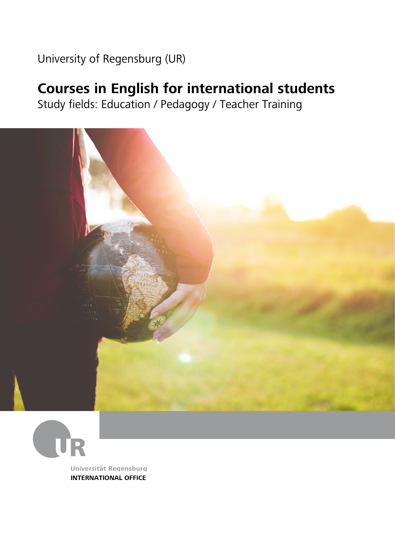### University of Regensburg (UR)

### **Courses in English for international students**

Study fields: Education / Pedagogy / Teacher Training





Universität Regensburg **INTERNATIONAL OFFICE**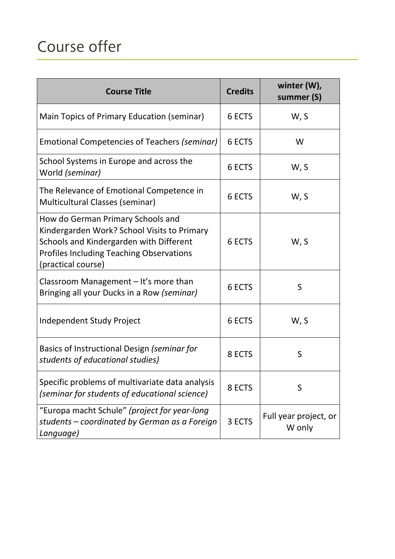# Course offer

| <b>Course Title</b>                                                                                                                                                                                  | <b>Credits</b> | winter (W),<br>summer (S)       |
|------------------------------------------------------------------------------------------------------------------------------------------------------------------------------------------------------|----------------|---------------------------------|
| Main Topics of Primary Education (seminar)                                                                                                                                                           | 6 ECTS         | W, S                            |
| Emotional Competencies of Teachers (seminar)                                                                                                                                                         | 6 ECTS         | W                               |
| School Systems in Europe and across the<br>World (seminar)                                                                                                                                           | 6 ECTS         | W, S                            |
| The Relevance of Emotional Competence in<br>Multicultural Classes (seminar)                                                                                                                          | 6 ECTS         | W, S                            |
| How do German Primary Schools and<br>Kindergarden Work? School Visits to Primary<br>Schools and Kindergarden with Different<br><b>Profiles Including Teaching Observations</b><br>(practical course) | 6 ECTS         | W, S                            |
| Classroom Management - It's more than<br>Bringing all your Ducks in a Row (seminar)                                                                                                                  | 6 ECTS         | S                               |
| <b>Independent Study Project</b>                                                                                                                                                                     | 6 ECTS         | W, S                            |
| Basics of Instructional Design (seminar for<br>students of educational studies)                                                                                                                      | 8 ECTS         | S                               |
| Specific problems of multivariate data analysis<br>(seminar for students of educational science)                                                                                                     | 8 ECTS         | S                               |
| "Europa macht Schule" (project for year-long<br>students – coordinated by German as a Foreign<br>Language)                                                                                           | 3 ECTS         | Full year project, or<br>W only |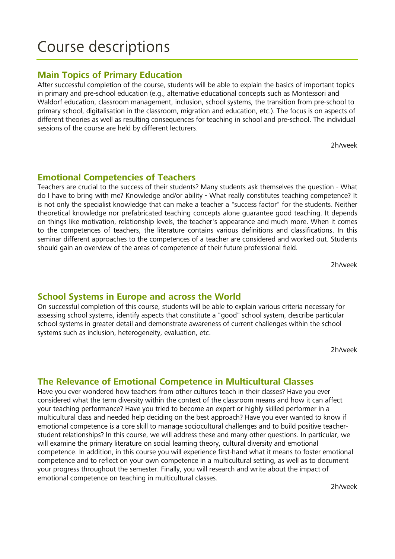### Course descriptions

#### **Main Topics of Primary Education**

After successful completion of the course, students will be able to explain the basics of important topics in primary and pre-school education (e.g., alternative educational concepts such as Montessori and Waldorf education, classroom management, inclusion, school systems, the transition from pre-school to primary school, digitalisation in the classroom, migration and education, etc.). The focus is on aspects of different theories as well as resulting consequences for teaching in school and pre-school. The individual sessions of the course are held by different lecturers.

2h/week

#### **Emotional Competencies of Teachers**

Teachers are crucial to the success of their students? Many students ask themselves the question - What do I have to bring with me? Knowledge and/or ability - What really constitutes teaching competence? It is not only the specialist knowledge that can make a teacher a "success factor" for the students. Neither theoretical knowledge nor prefabricated teaching concepts alone guarantee good teaching. It depends on things like motivation, relationship levels, the teacher's appearance and much more. When it comes to the competences of teachers, the literature contains various definitions and classifications. In this seminar different approaches to the competences of a teacher are considered and worked out. Students should gain an overview of the areas of competence of their future professional field.

2h/week

#### **School Systems in Europe and across the World**

On successful completion of this course, students will be able to explain various criteria necessary for assessing school systems, identify aspects that constitute a "good" school system, describe particular school systems in greater detail and demonstrate awareness of current challenges within the school systems such as inclusion, heterogeneity, evaluation, etc.

2h/week

#### **The Relevance of Emotional Competence in Multicultural Classes**

Have you ever wondered how teachers from other cultures teach in their classes? Have you ever considered what the term diversity within the context of the classroom means and how it can affect your teaching performance? Have you tried to become an expert or highly skilled performer in a multicultural class and needed help deciding on the best approach? Have you ever wanted to know if emotional competence is a core skill to manage sociocultural challenges and to build positive teacherstudent relationships? In this course, we will address these and many other questions. In particular, we will examine the primary literature on social learning theory, cultural diversity and emotional competence. In addition, in this course you will experience first-hand what it means to foster emotional competence and to reflect on your own competence in a multicultural setting, as well as to document your progress throughout the semester. Finally, you will research and write about the impact of emotional competence on teaching in multicultural classes.

2h/week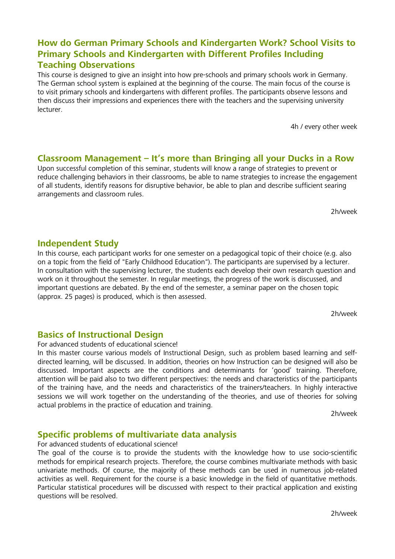#### **How do German Primary Schools and Kindergarten Work? School Visits to Primary Schools and Kindergarten with Different Profiles Including Teaching Observations**

This course is designed to give an insight into how pre-schools and primary schools work in Germany. The German school system is explained at the beginning of the course. The main focus of the course is to visit primary schools and kindergartens with different profiles. The participants observe lessons and then discuss their impressions and experiences there with the teachers and the supervising university lecturer.

4h / every other week

#### **Classroom Management – It's more than Bringing all your Ducks in a Row**

Upon successful completion of this seminar, students will know a range of strategies to prevent or reduce challenging behaviors in their classrooms, be able to name strategies to increase the engagement of all students, identify reasons for disruptive behavior, be able to plan and describe sufficient searing arrangements and classroom rules.

2h/week

#### **Independent Study**

In this course, each participant works for one semester on a pedagogical topic of their choice (e.g. also on a topic from the field of "Early Childhood Education"). The participants are supervised by a lecturer. In consultation with the supervising lecturer, the students each develop their own research question and work on it throughout the semester. In regular meetings, the progress of the work is discussed, and important questions are debated. By the end of the semester, a seminar paper on the chosen topic (approx. 25 pages) is produced, which is then assessed.

2h/week

#### **Basics of Instructional Design**

For advanced students of educational science!

In this master course various models of Instructional Design, such as problem based learning and selfdirected learning, will be discussed. In addition, theories on how Instruction can be designed will also be discussed. Important aspects are the conditions and determinants for 'good' training. Therefore, attention will be paid also to two different perspectives: the needs and characteristics of the participants of the training have, and the needs and characteristics of the trainers/teachers. In highly interactive sessions we will work together on the understanding of the theories, and use of theories for solving actual problems in the practice of education and training.

2h/week

#### **Specific problems of multivariate data analysis**

For advanced students of educational science!

The goal of the course is to provide the students with the knowledge how to use socio-scientific methods for empirical research projects. Therefore, the course combines multivariate methods with basic univariate methods. Of course, the majority of these methods can be used in numerous job-related activities as well. Requirement for the course is a basic knowledge in the field of quantitative methods. Particular statistical procedures will be discussed with respect to their practical application and existing questions will be resolved.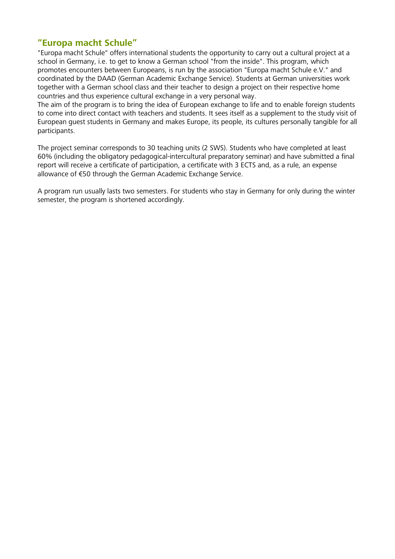#### **"Europa macht Schule"**

"Europa macht Schule" offers international students the opportunity to carry out a cultural project at a school in Germany, i.e. to get to know a German school "from the inside". This program, which promotes encounters between Europeans, is run by the association "Europa macht Schule e.V." and coordinated by the DAAD (German Academic Exchange Service). Students at German universities work together with a German school class and their teacher to design a project on their respective home countries and thus experience cultural exchange in a very personal way.

The aim of the program is to bring the idea of European exchange to life and to enable foreign students to come into direct contact with teachers and students. It sees itself as a supplement to the study visit of European guest students in Germany and makes Europe, its people, its cultures personally tangible for all participants.

The project seminar corresponds to 30 teaching units (2 SWS). Students who have completed at least 60% (including the obligatory pedagogical-intercultural preparatory seminar) and have submitted a final report will receive a certificate of participation, a certificate with 3 ECTS and, as a rule, an expense allowance of €50 through the German Academic Exchange Service.

A program run usually lasts two semesters. For students who stay in Germany for only during the winter semester, the program is shortened accordingly.